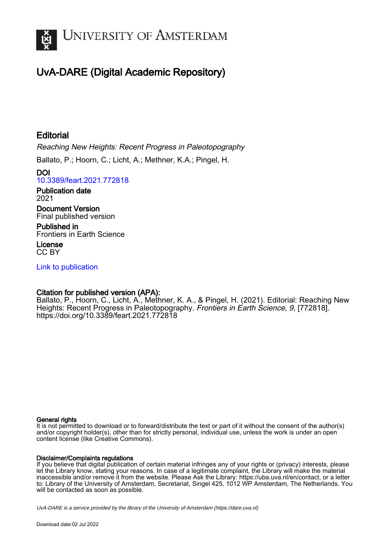

## UvA-DARE (Digital Academic Repository)

## **Editorial**

Reaching New Heights: Recent Progress in Paleotopography

Ballato, P.; Hoorn, C.; Licht, A.; Methner, K.A.; Pingel, H.

DOI [10.3389/feart.2021.772818](https://doi.org/10.3389/feart.2021.772818)

Publication date 2021

Document Version Final published version

Published in Frontiers in Earth Science

License CC BY

[Link to publication](https://dare.uva.nl/personal/pure/en/publications/editorial(05180b55-ae59-420b-8ae1-0522c95f26d9).html)

## Citation for published version (APA):

Ballato, P., Hoorn, C., Licht, A., Methner, K. A., & Pingel, H. (2021). Editorial: Reaching New Heights: Recent Progress in Paleotopography. Frontiers in Earth Science, 9, [772818]. <https://doi.org/10.3389/feart.2021.772818>

#### General rights

It is not permitted to download or to forward/distribute the text or part of it without the consent of the author(s) and/or copyright holder(s), other than for strictly personal, individual use, unless the work is under an open content license (like Creative Commons).

#### Disclaimer/Complaints regulations

If you believe that digital publication of certain material infringes any of your rights or (privacy) interests, please let the Library know, stating your reasons. In case of a legitimate complaint, the Library will make the material inaccessible and/or remove it from the website. Please Ask the Library: https://uba.uva.nl/en/contact, or a letter to: Library of the University of Amsterdam, Secretariat, Singel 425, 1012 WP Amsterdam, The Netherlands. You will be contacted as soon as possible.

UvA-DARE is a service provided by the library of the University of Amsterdam (http*s*://dare.uva.nl)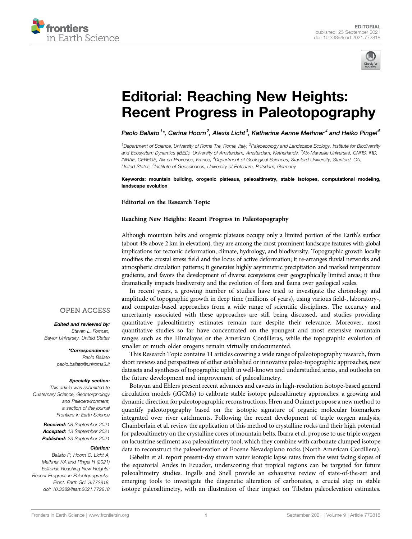



# [Editorial: Reaching New Heights:](https://www.frontiersin.org/articles/10.3389/feart.2021.772818/full) [Recent Progress in Paleotopography](https://www.frontiersin.org/articles/10.3389/feart.2021.772818/full)

Paolo Ballato $^1{}^*$ , Carina Hoorn $^2$ , Alexis Licht $^3$ , Katharina Aenne Methner $^4$  and Heiko Pingel $^5$ 

<sup>1</sup> Department of Science, University of Roma Tre, Rome, Italy, <sup>2</sup>Paleoecology and Landscape Ecology, Institute for Biodiversity and Ecosystem Dynamics (IBED), University of Amsterdam, Amsterdam, Netherlands, <sup>3</sup>Aix-Marseille Université, CNRS, IRD, INRAE, CEREGE, Aix-en-Provence, France, <sup>4</sup>Department of Geological Sciences, Stanford University, Stanford, CA, United States, <sup>5</sup>Institute of Geosciences, University of Potsdam, Potsdam, Germany

Keywords: mountain building, orogenic plateaus, paleoaltimetry, stable isotopes, computational modeling, landscape evolution

Editorial on the Research Topic

#### [Reaching New Heights: Recent Progress in Paleotopography](https://www.frontiersin.org/researchtopic/13636)

Although mountain belts and orogenic plateaus occupy only a limited portion of the Earth's surface (about 4% above 2 km in elevation), they are among the most prominent landscape features with global implications for tectonic deformation, climate, hydrology, and biodiversity. Topographic growth locally modifies the crustal stress field and the locus of active deformation; it re-arranges fluvial networks and atmospheric circulation patterns; it generates highly asymmetric precipitation and marked temperature gradients, and favors the development of diverse ecosystems over geographically limited areas; it thus dramatically impacts biodiversity and the evolution of flora and fauna over geological scales.

In recent years, a growing number of studies have tried to investigate the chronology and amplitude of topographic growth in deep time (millions of years), using various field-, laboratory-, and computer-based approaches from a wide range of scientific disciplines. The accuracy and uncertainty associated with these approaches are still being discussed, and studies providing quantitative paleoaltimetry estimates remain rare despite their relevance. Moreover, most quantitative studies so far have concentrated on the youngest and most extensive mountain ranges such as the Himalayas or the American Cordilleras, while the topographic evolution of smaller or much older orogens remain virtually undocumented.

This Research Topic contains 11 articles covering a wide range of paleotopography research, from short reviews and perspectives of either established or innovative paleo-topographic approaches, new datasets and syntheses of topographic uplift in well-known and understudied areas, and outlooks on the future development and improvement of paleoaltimetry.

Botsyun and Ehlers present recent advances and caveats in high-resolution isotope-based general circulation models (iGCMs) to calibrate stable isotope paleoaltimetry approaches, a growing and dynamic direction for paleotopographic reconstructions. Hren and Ouimet propose a new method to quantify paleotopography based on the isotopic signature of organic molecular biomarkers integrated over river catchments. Following the recent development of triple oxygen analysis, Chamberlain et al. review the application of this method to crystalline rocks and their high potential for paleoaltimetry on the crystalline cores of mountain belts. Ibarra et al. propose to use triple oxygen on lacustrine sediment as a paleoaltimetry tool, which they combine with carbonate clumped isotope data to reconstruct the paleoelevation of Eocene Nevadaplano rocks (North American Cordillera).

Gébelin et al. report present-day stream water isotopic lapse rates from the west facing slopes of the equatorial Andes in Ecuador, underscoring that tropical regions can be targeted for future paleoaltimetry studies. Ingalls and Snell provide an exhaustive review of state-of-the-art and emerging tools to investigate the diagenetic alteration of carbonates, a crucial step in stable isotope paleoaltimetry, with an illustration of their impact on Tibetan paleoelevation estimates.

#### **OPEN ACCESS**

Edited and reviewed by: Steven L. Forman, Baylor University, United States

> \*Correspondence: Paolo Ballato [paolo.ballato@uniroma3.it](mailto:paolo.ballato@uniroma3.it)

#### Specialty section:

This article was submitted to Quaternary Science, Geomorphology and Paleoenvironment, a section of the journal Frontiers in Earth Science

> Received: 08 September 2021 Accepted: 13 September 2021 Published: 23 September 2021

#### Citation:

Ballato P, Hoorn C, Licht A, Methner KA and Pingel H (2021) Editorial: Reaching New Heights: Recent Progress in Paleotopography. Front. Earth Sci. 9:772818. doi: [10.3389/feart.2021.772818](https://doi.org/10.3389/feart.2021.772818)